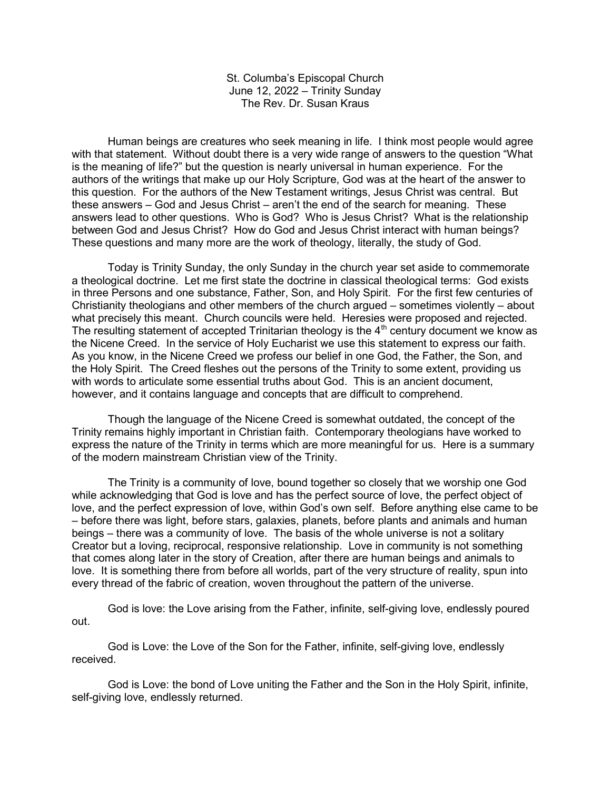St. Columba's Episcopal Church June 12, 2022 – Trinity Sunday The Rev. Dr. Susan Kraus

 Human beings are creatures who seek meaning in life. I think most people would agree with that statement. Without doubt there is a very wide range of answers to the question "What is the meaning of life?" but the question is nearly universal in human experience. For the authors of the writings that make up our Holy Scripture, God was at the heart of the answer to this question. For the authors of the New Testament writings, Jesus Christ was central. But these answers – God and Jesus Christ – aren't the end of the search for meaning. These answers lead to other questions. Who is God? Who is Jesus Christ? What is the relationship between God and Jesus Christ? How do God and Jesus Christ interact with human beings? These questions and many more are the work of theology, literally, the study of God.

 Today is Trinity Sunday, the only Sunday in the church year set aside to commemorate a theological doctrine. Let me first state the doctrine in classical theological terms: God exists in three Persons and one substance, Father, Son, and Holy Spirit. For the first few centuries of Christianity theologians and other members of the church argued – sometimes violently – about what precisely this meant. Church councils were held. Heresies were proposed and rejected. The resulting statement of accepted Trinitarian theology is the  $4<sup>th</sup>$  century document we know as the Nicene Creed. In the service of Holy Eucharist we use this statement to express our faith. As you know, in the Nicene Creed we profess our belief in one God, the Father, the Son, and the Holy Spirit. The Creed fleshes out the persons of the Trinity to some extent, providing us with words to articulate some essential truths about God. This is an ancient document, however, and it contains language and concepts that are difficult to comprehend.

 Though the language of the Nicene Creed is somewhat outdated, the concept of the Trinity remains highly important in Christian faith. Contemporary theologians have worked to express the nature of the Trinity in terms which are more meaningful for us. Here is a summary of the modern mainstream Christian view of the Trinity.

 The Trinity is a community of love, bound together so closely that we worship one God while acknowledging that God is love and has the perfect source of love, the perfect object of love, and the perfect expression of love, within God's own self. Before anything else came to be – before there was light, before stars, galaxies, planets, before plants and animals and human beings – there was a community of love. The basis of the whole universe is not a solitary Creator but a loving, reciprocal, responsive relationship. Love in community is not something that comes along later in the story of Creation, after there are human beings and animals to love. It is something there from before all worlds, part of the very structure of reality, spun into every thread of the fabric of creation, woven throughout the pattern of the universe.

 God is love: the Love arising from the Father, infinite, self-giving love, endlessly poured out.

 God is Love: the Love of the Son for the Father, infinite, self-giving love, endlessly received.

 God is Love: the bond of Love uniting the Father and the Son in the Holy Spirit, infinite, self-giving love, endlessly returned.